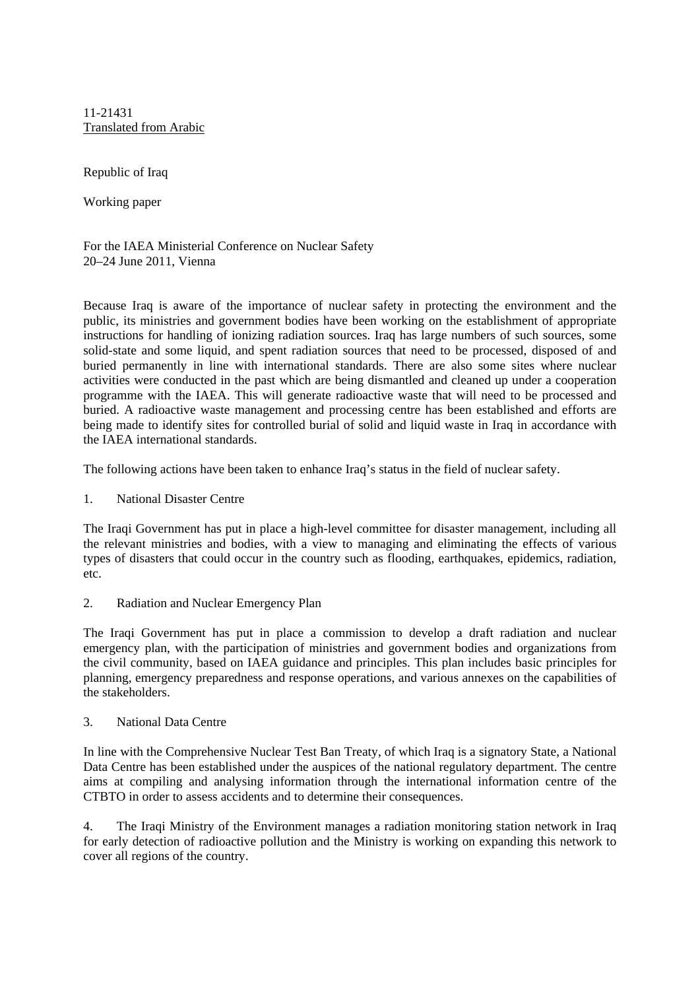11-21431 Translated from Arabic

Republic of Iraq

Working paper

For the IAEA Ministerial Conference on Nuclear Safety 20–24 June 2011, Vienna

Because Iraq is aware of the importance of nuclear safety in protecting the environment and the public, its ministries and government bodies have been working on the establishment of appropriate instructions for handling of ionizing radiation sources. Iraq has large numbers of such sources, some solid-state and some liquid, and spent radiation sources that need to be processed, disposed of and buried permanently in line with international standards. There are also some sites where nuclear activities were conducted in the past which are being dismantled and cleaned up under a cooperation programme with the IAEA. This will generate radioactive waste that will need to be processed and buried. A radioactive waste management and processing centre has been established and efforts are being made to identify sites for controlled burial of solid and liquid waste in Iraq in accordance with the IAEA international standards.

The following actions have been taken to enhance Iraq's status in the field of nuclear safety.

1. National Disaster Centre

The Iraqi Government has put in place a high-level committee for disaster management, including all the relevant ministries and bodies, with a view to managing and eliminating the effects of various types of disasters that could occur in the country such as flooding, earthquakes, epidemics, radiation, etc.

2. Radiation and Nuclear Emergency Plan

The Iraqi Government has put in place a commission to develop a draft radiation and nuclear emergency plan, with the participation of ministries and government bodies and organizations from the civil community, based on IAEA guidance and principles. This plan includes basic principles for planning, emergency preparedness and response operations, and various annexes on the capabilities of the stakeholders.

3. National Data Centre

In line with the Comprehensive Nuclear Test Ban Treaty, of which Iraq is a signatory State, a National Data Centre has been established under the auspices of the national regulatory department. The centre aims at compiling and analysing information through the international information centre of the CTBTO in order to assess accidents and to determine their consequences.

4. The Iraqi Ministry of the Environment manages a radiation monitoring station network in Iraq for early detection of radioactive pollution and the Ministry is working on expanding this network to cover all regions of the country.